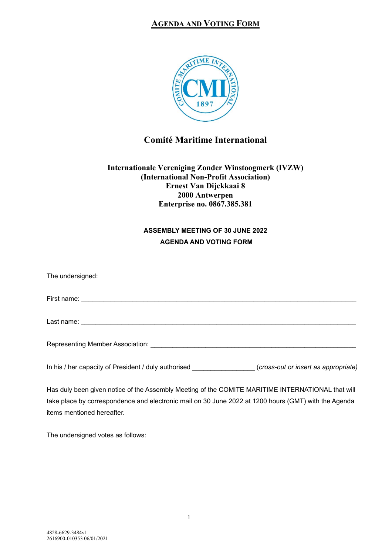## **AGENDA AND VOTING FORM**



# **Comité Maritime International**

### **Internationale Vereniging Zonder Winstoogmerk (IVZW) (International Non-Profit Association) Ernest Van Dijckkaai 8 2000 Antwerpen Enterprise no. 0867.385.381**

## **ASSEMBLY MEETING OF 30 JUNE 2022 AGENDA AND VOTING FORM**

| The undersigned:                                                                                  |  |
|---------------------------------------------------------------------------------------------------|--|
|                                                                                                   |  |
|                                                                                                   |  |
|                                                                                                   |  |
| In his / her capacity of President / duly authorised (cross-out or insert as appropriate)         |  |
| Has duly been given notice of the Assembly Meeting of the COMITE MARITIME INTERNATIONAL that will |  |

take place by correspondence and electronic mail on 30 June 2022 at 1200 hours (GMT) with the Agenda items mentioned hereafter.

The undersigned votes as follows: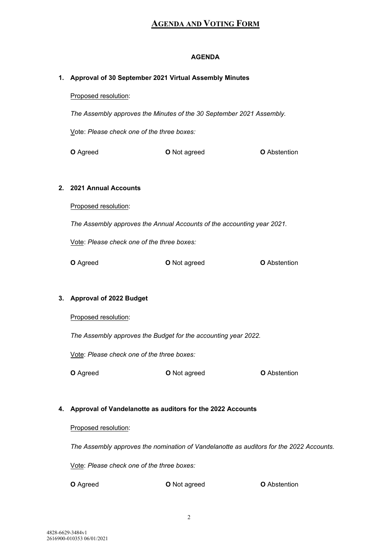# **AGENDA AND VOTING FORM**

## **AGENDA**

|    | 1. Approval of 30 September 2021 Virtual Assembly Minutes                               |                     |                     |  |
|----|-----------------------------------------------------------------------------------------|---------------------|---------------------|--|
|    | Proposed resolution:                                                                    |                     |                     |  |
|    | The Assembly approves the Minutes of the 30 September 2021 Assembly.                    |                     |                     |  |
|    | Vote: Please check one of the three boxes:                                              |                     |                     |  |
|    | O Agreed                                                                                | <b>O</b> Not agreed | <b>O</b> Abstention |  |
|    |                                                                                         |                     |                     |  |
|    | 2. 2021 Annual Accounts                                                                 |                     |                     |  |
|    | Proposed resolution:                                                                    |                     |                     |  |
|    | The Assembly approves the Annual Accounts of the accounting year 2021.                  |                     |                     |  |
|    | Vote: Please check one of the three boxes:                                              |                     |                     |  |
|    | O Agreed                                                                                | O Not agreed        | <b>O</b> Abstention |  |
|    |                                                                                         |                     |                     |  |
|    | 3. Approval of 2022 Budget                                                              |                     |                     |  |
|    | Proposed resolution:                                                                    |                     |                     |  |
|    | The Assembly approves the Budget for the accounting year 2022.                          |                     |                     |  |
|    | Vote: Please check one of the three boxes:                                              |                     |                     |  |
|    | O Agreed                                                                                | O Not agreed        | <b>O</b> Abstention |  |
|    |                                                                                         |                     |                     |  |
| 4. | Approval of Vandelanotte as auditors for the 2022 Accounts                              |                     |                     |  |
|    | Proposed resolution:                                                                    |                     |                     |  |
|    | The Assembly approves the nomination of Vandelanotte as auditors for the 2022 Accounts. |                     |                     |  |
|    | Vote: Please check one of the three boxes:                                              |                     |                     |  |
|    | O Agreed                                                                                | O Not agreed        | <b>O</b> Abstention |  |
|    |                                                                                         |                     |                     |  |